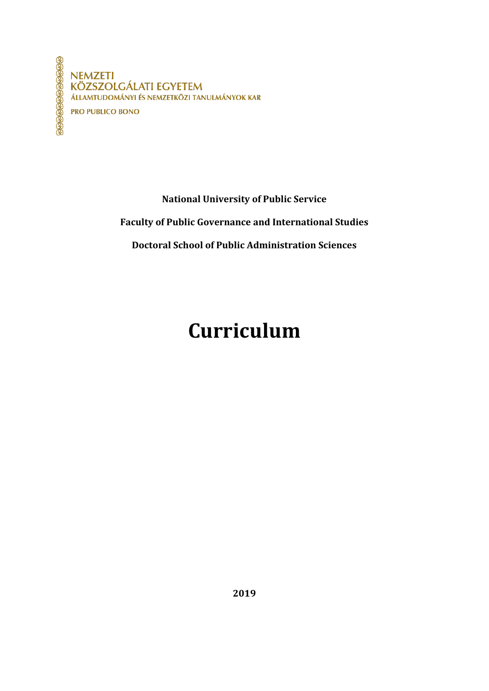**NEMZETI KÖZSZOLGÁLATI EGYETEM** ÁLLAMTUDOMÁNYI ÉS NEMZETKÖZI TANULMÁNYOK KAR **PRO PUBLICO BONO** 

**National University of Public Service**

**Faculty of Public Governance and International Studies**

**Doctoral School of Public Administration Sciences**

# **Curriculum**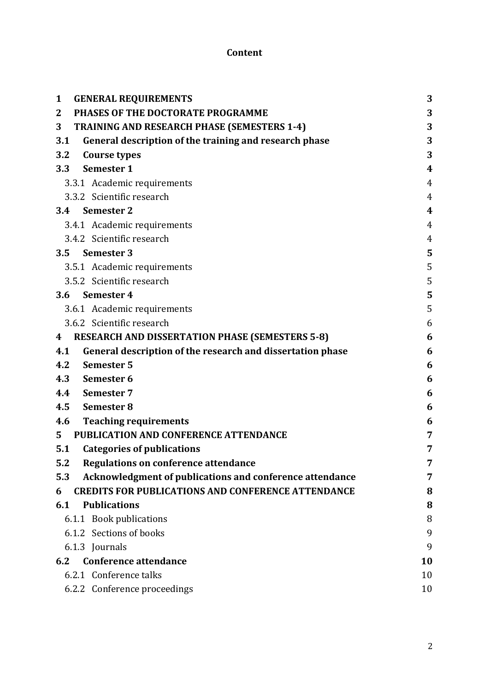# **Content**

| <b>GENERAL REQUIREMENTS</b><br>$\mathbf{1}$                              | 3                |
|--------------------------------------------------------------------------|------------------|
| PHASES OF THE DOCTORATE PROGRAMME<br>$\mathbf{2}$                        | 3                |
| 3<br><b>TRAINING AND RESEARCH PHASE (SEMESTERS 1-4)</b>                  | 3                |
| 3.1<br>General description of the training and research phase            | 3                |
| 3.2<br>Course types                                                      | 3                |
| Semester 1<br>3.3                                                        | $\boldsymbol{4}$ |
| 3.3.1 Academic requirements                                              | $\overline{4}$   |
| 3.3.2 Scientific research                                                | $\overline{4}$   |
| 3.4 Semester 2                                                           | $\overline{4}$   |
| 3.4.1 Academic requirements                                              | 4                |
| 3.4.2 Scientific research                                                | $\overline{4}$   |
| 3.5 Semester 3                                                           | 5                |
| 3.5.1 Academic requirements                                              | 5                |
| 3.5.2 Scientific research                                                | 5                |
| 3.6 Semester 4                                                           | 5                |
| 3.6.1 Academic requirements                                              | 5                |
| 3.6.2 Scientific research                                                | 6                |
| <b>RESEARCH AND DISSERTATION PHASE (SEMESTERS 5-8)</b><br>$\overline{4}$ | 6                |
| General description of the research and dissertation phase<br>4.1        | 6                |
| <b>Semester 5</b><br>4.2                                                 | 6                |
| 4.3<br>Semester 6                                                        | 6                |
| 4.4<br><b>Semester 7</b>                                                 | 6                |
| 4.5<br>Semester 8                                                        | 6                |
| <b>Teaching requirements</b><br>4.6                                      | 6                |
| PUBLICATION AND CONFERENCE ATTENDANCE<br>5 <sup>1</sup>                  | 7                |
| <b>Categories of publications</b><br>5.1                                 | 7                |
| <b>Regulations on conference attendance</b><br>5.2                       | 7                |
| Acknowledgment of publications and conference attendance<br>5.3          |                  |
| <b>CREDITS FOR PUBLICATIONS AND CONFERENCE ATTENDANCE</b><br>6           | 8                |
| <b>Publications</b><br>6.1                                               | 8                |
| 6.1.1 Book publications                                                  | 8                |
| 6.1.2 Sections of books                                                  | 9                |
| 6.1.3 Journals                                                           | 9                |
| <b>Conference attendance</b><br>6.2                                      | 10               |
| 6.2.1 Conference talks                                                   | 10               |
| 6.2.2 Conference proceedings                                             | 10               |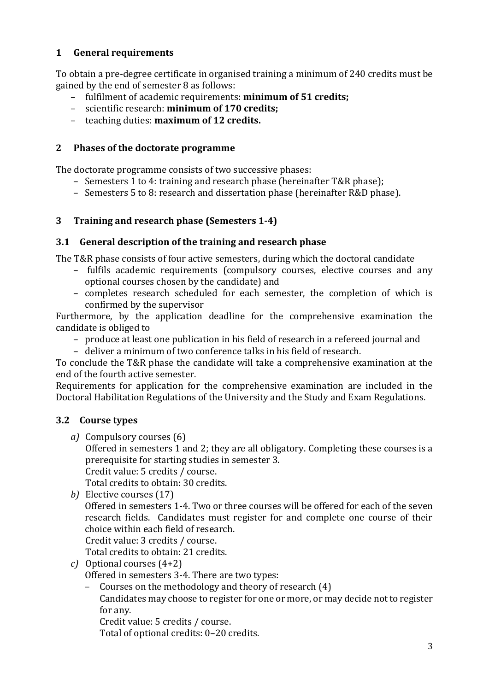## <span id="page-2-0"></span>**1 General requirements**

To obtain a pre-degree certificate in organised training a minimum of 240 credits must be gained by the end of semester 8 as follows:

- fulfilment of academic requirements: **minimum of 51 credits;**
- scientific research: **minimum of 170 credits;**
- teaching duties: **maximum of 12 credits.**

## <span id="page-2-1"></span>**2 Phases of the doctorate programme**

The doctorate programme consists of two successive phases:

- Semesters 1 to 4: training and research phase (hereinafter T&R phase);
- Semesters 5 to 8: research and dissertation phase (hereinafter R&D phase).

# <span id="page-2-2"></span>**3 Training and research phase (Semesters 1-4)**

# <span id="page-2-3"></span>**3.1 General description of the training and research phase**

The T&R phase consists of four active semesters, during which the doctoral candidate

- fulfils academic requirements (compulsory courses, elective courses and any optional courses chosen by the candidate) and
- completes research scheduled for each semester, the completion of which is confirmed by the supervisor

Furthermore, by the application deadline for the comprehensive examination the candidate is obliged to

- produce at least one publication in his field of research in a refereed journal and
- deliver a minimum of two conference talks in his field of research.

To conclude the T&R phase the candidate will take a comprehensive examination at the end of the fourth active semester.

Requirements for application for the comprehensive examination are included in the Doctoral Habilitation Regulations of the University and the Study and Exam Regulations.

# <span id="page-2-4"></span>**3.2 Course types**

*a)* Compulsory courses (6)

Offered in semesters 1 and 2; they are all obligatory. Completing these courses is a prerequisite for starting studies in semester 3.

Credit value: 5 credits / course.

Total credits to obtain: 30 credits.

*b)* Elective courses (17)

Offered in semesters 1-4. Two or three courses will be offered for each of the seven research fields. Candidates must register for and complete one course of their choice within each field of research.

Credit value: 3 credits / course.

Total credits to obtain: 21 credits.

*c)* Optional courses (4+2)

Offered in semesters 3-4. There are two types:

– Courses on the methodology and theory of research (4) Candidates may choose to register for one or more, or may decide not to register for any.

Credit value: 5 credits / course.

Total of optional credits: 0–20 credits.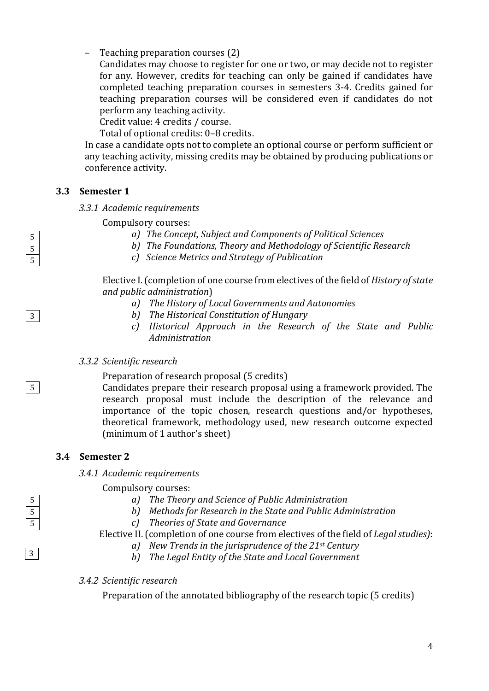– Teaching preparation courses (2)

Candidates may choose to register for one or two, or may decide not to register for any. However, credits for teaching can only be gained if candidates have completed teaching preparation courses in semesters 3-4. Credits gained for teaching preparation courses will be considered even if candidates do not perform any teaching activity.

Credit value: 4 credits / course.

Total of optional credits: 0–8 credits.

In case a candidate opts not to complete an optional course or perform sufficient or any teaching activity, missing credits may be obtained by producing publications or conference activity.

#### <span id="page-3-1"></span><span id="page-3-0"></span>**3.3 Semester 1**

*3.3.1 Academic requirements*

Compulsory courses:

- *a) The Concept, Subject and Components of Political Sciences*
- *b) The Foundations, Theory and Methodology of Scientific Research*
- *c) Science Metrics and Strategy of Publication*

Elective I.(completion of one course from electives of the field of *History of state and public administration*)

- *a) The History of Local Governments and Autonomies*
- *b) The Historical Constitution of Hungary*
- *c) Historical Approach in the Research of the State and Public Administration*

#### <span id="page-3-2"></span>*3.3.2 Scientific research*

Preparation of research proposal (5 credits)

Candidates prepare their research proposal using a framework provided. The research proposal must include the description of the relevance and importance of the topic chosen, research questions and/or hypotheses, theoretical framework, methodology used, new research outcome expected (minimum of 1 author's sheet)

#### <span id="page-3-4"></span><span id="page-3-3"></span>**3.4 Semester 2**

*3.4.1 Academic requirements*

Compulsory courses:

- *a) The Theory and Science of Public Administration*
- *b) Methods for Research in the State and Public Administration*
- *c) Theories of State and Governance*

#### Elective II. (completion of one course from electives of the field of *Legal studies)*:

- *a) New Trends in the jurisprudence of the 21st Century*
- *b) The Legal Entity of the State and Local Government*

#### <span id="page-3-5"></span>*3.4.2 Scientific research*

Preparation of the annotated bibliography of the research topic (5 credits)



3

5



3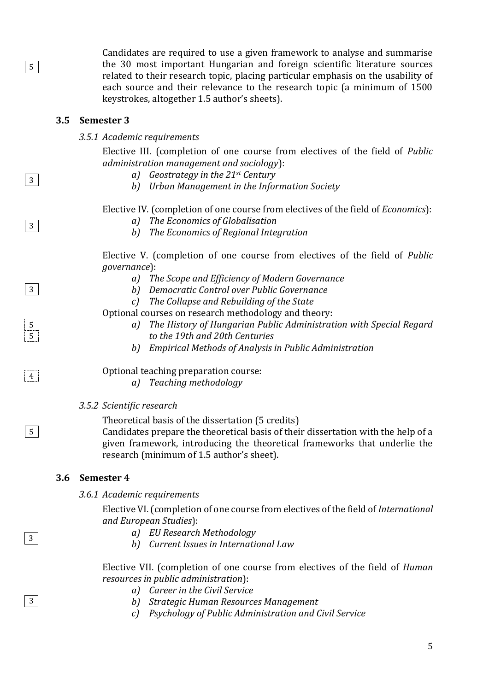Candidates are required to use a given framework to analyse and summarise the 30 most important Hungarian and foreign scientific literature sources related to their research topic, placing particular emphasis on the usability of each source and their relevance to the research topic (a minimum of 1500 keystrokes, altogether 1.5 author's sheets).

#### <span id="page-4-1"></span><span id="page-4-0"></span>**3.5 Semester 3**

5

3

3

3

5 5

5

 $|4|$ 

3

3

#### *3.5.1 Academic requirements*

Elective III. (completion of one course from electives of the field of *Public administration management and sociology*):

- *a) Geostrategy in the 21st Century*
- *b) Urban Management in the Information Society*

Elective IV. (completion of one course from electives of the field of *Economics*):

- *a) The Economics of Globalisation*
- *b) The Economics of Regional Integration*

Elective V. (completion of one course from electives of the field of *Public governance*):

- *a) The Scope and Efficiency of Modern Governance*
- *b) Democratic Control over Public Governance*
- *c) The Collapse and Rebuilding of the State*

Optional courses on research methodology and theory:

- *a) The History of Hungarian Public Administration with Special Regard to the 19th and 20th Centuries*
- *b) Empirical Methods of Analysis in Public Administration*

Optional teaching preparation course:

*a) Teaching methodology*

<span id="page-4-2"></span>*3.5.2 Scientific research*

Theoretical basis of the dissertation (5 credits)

Candidates prepare the theoretical basis of their dissertation with the help of a given framework, introducing the theoretical frameworks that underlie the research (minimum of 1.5 author's sheet).

#### <span id="page-4-4"></span><span id="page-4-3"></span>**3.6 Semester 4**

*3.6.1 Academic requirements*

Elective VI. (completion of one course from electives of the field of *International and European Studies*):

- *a) EU Research Methodology*
- *b) Current Issues in International Law*

Elective VII. (completion of one course from electives of the field of *Human resources in public administration*):

- *a) Career in the Civil Service*
- *b) Strategic Human Resources Management*
- *c) Psychology of Public Administration and Civil Service*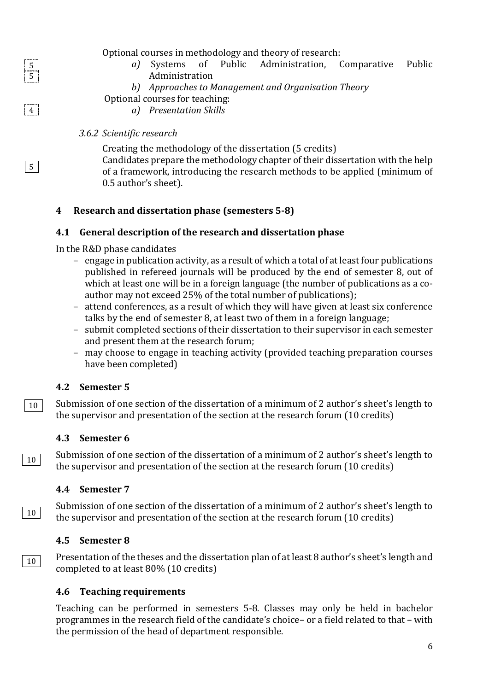Optional courses in methodology and theory of research:

- *a)* Systems of Public Administration, Comparative Public Administration
- *b) Approaches to Management and Organisation Theory*
- Optional courses for teaching:
	- *a) Presentation Skills*

# <span id="page-5-0"></span>*3.6.2 Scientific research*

 $|4|$ 

5 5

5

10

10

10

Creating the methodology of the dissertation (5 credits) Candidates prepare the methodology chapter of their dissertation with the help of a framework, introducing the research methods to be applied (minimum of 0.5 author's sheet).

# <span id="page-5-1"></span>**4 Research and dissertation phase (semesters 5-8)**

# <span id="page-5-2"></span>**4.1 General description of the research and dissertation phase**

In the R&D phase candidates

- engage in publication activity, as a result of which a total of at least four publications published in refereed journals will be produced by the end of semester 8, out of which at least one will be in a foreign language (the number of publications as a coauthor may not exceed 25% of the total number of publications);
- attend conferences, as a result of which they will have given at least six conference talks by the end of semester 8, at least two of them in a foreign language;
- submit completed sections of their dissertation to their supervisor in each semester and present them at the research forum;
- may choose to engage in teaching activity (provided teaching preparation courses have been completed)

# <span id="page-5-3"></span>**4.2 Semester 5**

Submission of one section of the dissertation of a minimum of 2 author's sheet's length to the supervisor and presentation of the section at the research forum (10 credits) 10

## <span id="page-5-4"></span>**4.3 Semester 6**

Submission of one section of the dissertation of a minimum of 2 author's sheet's length to the supervisor and presentation of the section at the research forum (10 credits)

# <span id="page-5-5"></span>**4.4 Semester 7**

Submission of one section of the dissertation of a minimum of 2 author's sheet's length to the supervisor and presentation of the section at the research forum (10 credits)

# <span id="page-5-6"></span>**4.5 Semester 8**

Presentation of the theses and the dissertation plan of at least 8 author's sheet's length and completed to at least 80% (10 credits)

# <span id="page-5-7"></span>**4.6 Teaching requirements**

Teaching can be performed in semesters 5-8. Classes may only be held in bachelor programmes in the research field of the candidate's choice– or a field related to that – with the permission of the head of department responsible.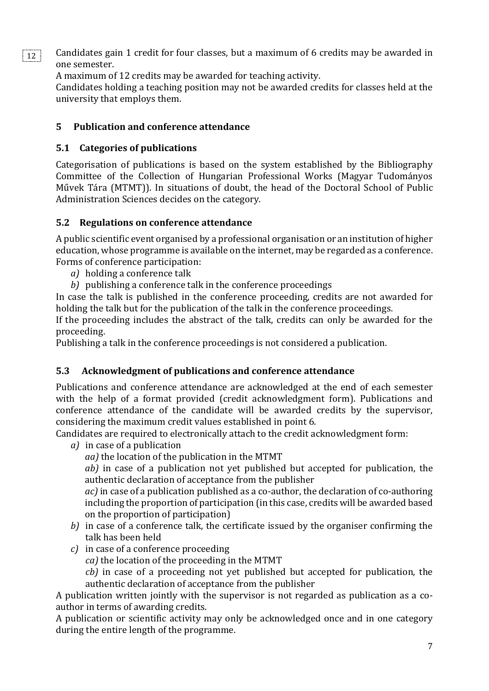Candidates gain 1 credit for four classes, but a maximum of 6 credits may be awarded in one semester. 12

A maximum of 12 credits may be awarded for teaching activity.

Candidates holding a teaching position may not be awarded credits for classes held at the university that employs them.

# <span id="page-6-0"></span>**5 Publication and conference attendance**

# <span id="page-6-1"></span>**5.1 Categories of publications**

Categorisation of publications is based on the system established by the Bibliography Committee of the Collection of Hungarian Professional Works (Magyar Tudományos Művek Tára (MTMT)). In situations of doubt, the head of the Doctoral School of Public Administration Sciences decides on the category.

# <span id="page-6-2"></span>**5.2 Regulations on conference attendance**

A public scientific event organised by a professional organisation or an institution of higher education, whose programme is available on the internet, may be regarded as a conference. Forms of conference participation:

- *a)* holding a conference talk
- *b)* publishing a conference talk in the conference proceedings

In case the talk is published in the conference proceeding, credits are not awarded for holding the talk but for the publication of the talk in the conference proceedings.

If the proceeding includes the abstract of the talk, credits can only be awarded for the proceeding.

Publishing a talk in the conference proceedings is not considered a publication.

# <span id="page-6-3"></span>**5.3 Acknowledgment of publications and conference attendance**

Publications and conference attendance are acknowledged at the end of each semester with the help of a format provided (credit acknowledgment form). Publications and conference attendance of the candidate will be awarded credits by the supervisor, considering the maximum credit values established in point 6.

Candidates are required to electronically attach to the credit acknowledgment form:

*a)* in case of a publication

*aa)* the location of the publication in the MTMT

*ab)* in case of a publication not yet published but accepted for publication, the authentic declaration of acceptance from the publisher

*ac)* in case of a publication published as a co-author, the declaration of co-authoring including the proportion of participation (in this case, credits will be awarded based on the proportion of participation)

- *b)* in case of a conference talk, the certificate issued by the organiser confirming the talk has been held
- *c)* in case of a conference proceeding
	- *ca)* the location of the proceeding in the MTMT
	- *cb)* in case of a proceeding not yet published but accepted for publication, the authentic declaration of acceptance from the publisher

A publication written jointly with the supervisor is not regarded as publication as a coauthor in terms of awarding credits.

A publication or scientific activity may only be acknowledged once and in one category during the entire length of the programme.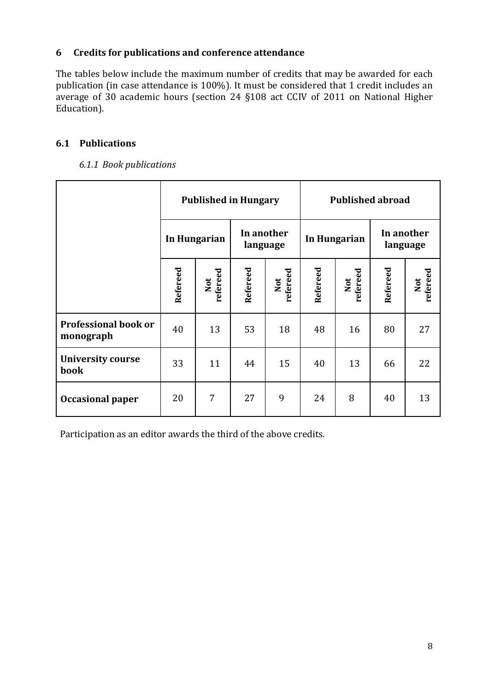#### <span id="page-7-0"></span>**6 Credits for publications and conference attendance**

The tables below include the maximum number of credits that may be awarded for each publication (in case attendance is 100%). It must be considered that 1 credit includes an average of 30 academic hours (section 24 §108 act CCIV of 2011 on National Higher Education).

## <span id="page-7-1"></span>**6.1 Publications**

#### *6.1.1 Book publications*

<span id="page-7-2"></span>

|                                          | <b>Published in Hungary</b> |                 |                        |                 | <b>Published abroad</b> |                 |                        |                 |
|------------------------------------------|-----------------------------|-----------------|------------------------|-----------------|-------------------------|-----------------|------------------------|-----------------|
|                                          | In Hungarian                |                 | In another<br>language |                 | In Hungarian            |                 | In another<br>language |                 |
|                                          | Refereed                    | Not<br>refereed | Refereed               | refereed<br>Not | Refereed                | refereed<br>Not | Refereed               | Not<br>refereed |
| <b>Professional book or</b><br>monograph | 40                          | 13              | 53                     | 18              | 48                      | 16              | 80                     | 27              |
| <b>University course</b><br><b>book</b>  | 33                          | 11              | 44                     | 15              | 40                      | 13              | 66                     | 22              |
| <b>Occasional paper</b>                  | 20                          | 7               | 27                     | 9               | 24                      | 8               | 40                     | 13              |

Participation as an editor awards the third of the above credits.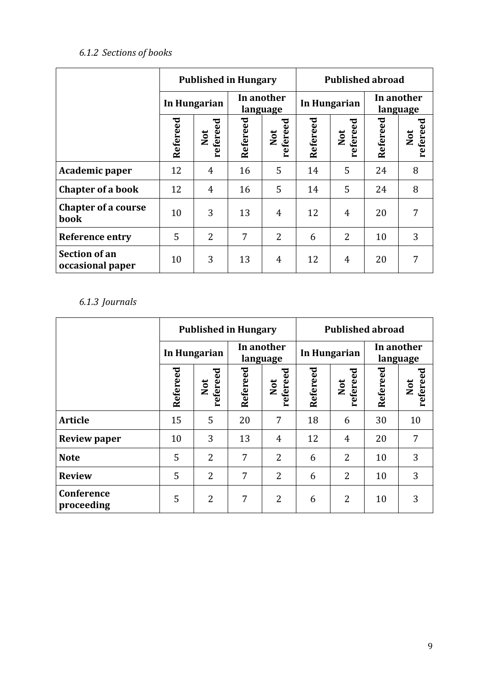# *6.1.2 Sections of books*

<span id="page-8-0"></span>

|                                          | <b>Published in Hungary</b> |                 |                        |                 | <b>Published abroad</b> |                 |                        |                 |  |
|------------------------------------------|-----------------------------|-----------------|------------------------|-----------------|-------------------------|-----------------|------------------------|-----------------|--|
|                                          | In Hungarian                |                 | In another<br>language |                 | In Hungarian            |                 | In another<br>language |                 |  |
|                                          | Refereed                    | refereed<br>Not | Refereed               | refereed<br>Not | Refereed                | refereed<br>Not | Refereed               | refereed<br>Not |  |
| Academic paper                           | 12                          | 4               | 16                     | 5               | 14                      | 5               | 24                     | 8               |  |
| <b>Chapter of a book</b>                 | 12                          | 4               | 16                     | 5               | 14                      | 5               | 24                     | 8               |  |
| <b>Chapter of a course</b><br>book       | 10                          | 3               | 13                     | 4               | 12                      | $\overline{4}$  | 20                     | 7               |  |
| <b>Reference entry</b>                   | 5                           | $\overline{2}$  | 7                      | $\overline{2}$  | 6                       | $\overline{2}$  | 10                     | 3               |  |
| <b>Section of an</b><br>occasional paper | 10                          | 3               | 13                     | 4               | 12                      | 4               | 20                     | 7               |  |

# *6.1.3 Journals*

<span id="page-8-1"></span>

|                          | <b>Published in Hungary</b> |                 |                        |                 | <b>Published abroad</b> |                 |                        |                 |  |
|--------------------------|-----------------------------|-----------------|------------------------|-----------------|-------------------------|-----------------|------------------------|-----------------|--|
|                          | In Hungarian                |                 | In another<br>language |                 | In Hungarian            |                 | In another<br>language |                 |  |
|                          | Refereed                    | refereed<br>Not | Refereed               | refereed<br>Not | Refereed                | refereed<br>Not | Refereed               | Not<br>refereed |  |
| <b>Article</b>           | 15                          | 5               | 20                     | 7               | 18                      | 6               | 30                     | 10              |  |
| <b>Review paper</b>      | 10                          | 3               | 13                     | 4               | 12                      | 4               | 20                     | 7               |  |
| <b>Note</b>              | 5                           | $\overline{2}$  | 7                      | $\overline{2}$  | 6                       | $\overline{2}$  | 10                     | 3               |  |
| <b>Review</b>            | 5                           | $\overline{2}$  | 7                      | 2               | 6                       | $\overline{2}$  | 10                     | 3               |  |
| Conference<br>proceeding | 5                           | $\overline{2}$  | 7                      | $\overline{2}$  | 6                       | $\overline{2}$  | 10                     | 3               |  |